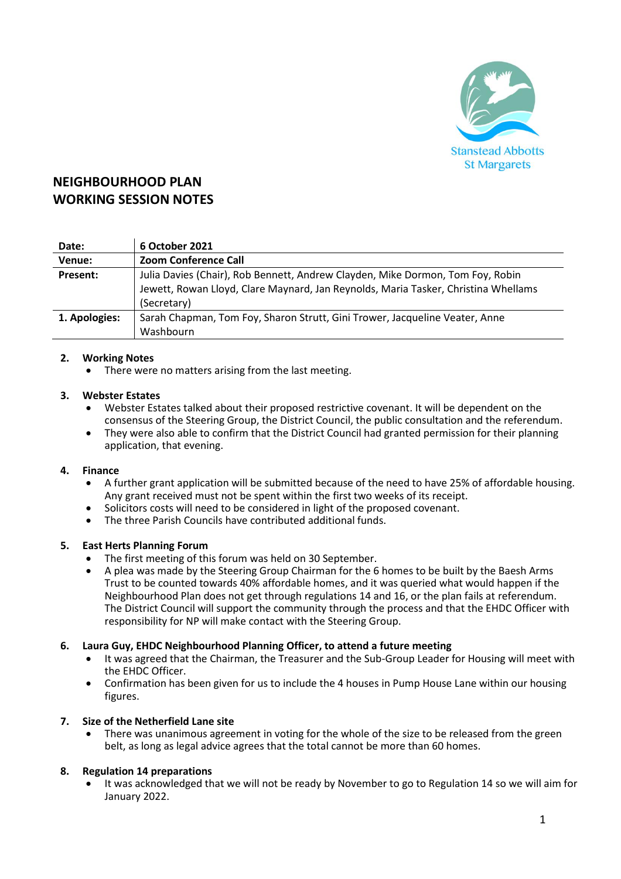

# **NEIGHBOURHOOD PLAN WORKING SESSION NOTES**

| Date:         | 6 October 2021                                                                     |
|---------------|------------------------------------------------------------------------------------|
| Venue:        | <b>Zoom Conference Call</b>                                                        |
| Present:      | Julia Davies (Chair), Rob Bennett, Andrew Clayden, Mike Dormon, Tom Foy, Robin     |
|               | Jewett, Rowan Lloyd, Clare Maynard, Jan Reynolds, Maria Tasker, Christina Whellams |
|               | (Secretary)                                                                        |
| 1. Apologies: | Sarah Chapman, Tom Foy, Sharon Strutt, Gini Trower, Jacqueline Veater, Anne        |
|               | Washbourn                                                                          |

# **2. Working Notes**

There were no matters arising from the last meeting.

# **3. Webster Estates**

- Webster Estates talked about their proposed restrictive covenant. It will be dependent on the consensus of the Steering Group, the District Council, the public consultation and the referendum.
- They were also able to confirm that the District Council had granted permission for their planning application, that evening.

#### **4. Finance**

- A further grant application will be submitted because of the need to have 25% of affordable housing. Any grant received must not be spent within the first two weeks of its receipt.
- Solicitors costs will need to be considered in light of the proposed covenant.
- The three Parish Councils have contributed additional funds.

#### **5. East Herts Planning Forum**

- The first meeting of this forum was held on 30 September.
- A plea was made by the Steering Group Chairman for the 6 homes to be built by the Baesh Arms Trust to be counted towards 40% affordable homes, and it was queried what would happen if the Neighbourhood Plan does not get through regulations 14 and 16, or the plan fails at referendum. The District Council will support the community through the process and that the EHDC Officer with responsibility for NP will make contact with the Steering Group.

#### **6. Laura Guy, EHDC Neighbourhood Planning Officer, to attend a future meeting**

- It was agreed that the Chairman, the Treasurer and the Sub-Group Leader for Housing will meet with the EHDC Officer.
- Confirmation has been given for us to include the 4 houses in Pump House Lane within our housing figures.

#### **7. Size of the Netherfield Lane site**

• There was unanimous agreement in voting for the whole of the size to be released from the green belt, as long as legal advice agrees that the total cannot be more than 60 homes.

#### **8. Regulation 14 preparations**

• It was acknowledged that we will not be ready by November to go to Regulation 14 so we will aim for January 2022.